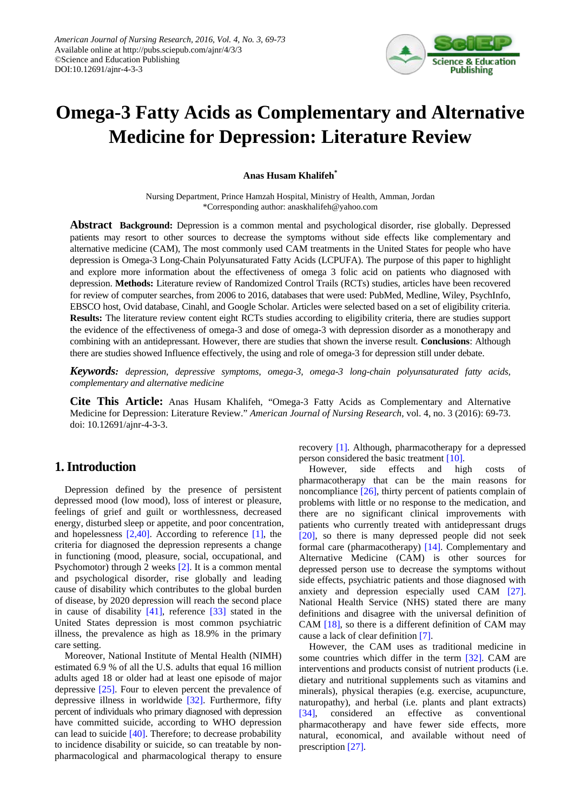

# **Omega-3 Fatty Acids as Complementary and Alternative Medicine for Depression: Literature Review**

#### **Anas Husam Khalifeh\***

Nursing Department, Prince Hamzah Hospital, Ministry of Health, Amman, Jordan \*Corresponding author: anaskhalifeh@yahoo.com

**Abstract Background:** Depression is a common mental and psychological disorder, rise globally. Depressed patients may resort to other sources to decrease the symptoms without side effects like complementary and alternative medicine (CAM), The most commonly used CAM treatments in the United States for people who have depression is Omega-3 Long-Chain Polyunsaturated Fatty Acids (LCPUFA). The purpose of this paper to highlight and explore more information about the effectiveness of omega 3 folic acid on patients who diagnosed with depression. **Methods:** Literature review of Randomized Control Trails (RCTs) studies, articles have been recovered for review of computer searches, from 2006 to 2016, databases that were used: PubMed, Medline, Wiley, PsychInfo, EBSCO host, Ovid database, Cinahl, and Google Scholar. Articles were selected based on a set of eligibility criteria. **Results:** The literature review content eight RCTs studies according to eligibility criteria, there are studies support the evidence of the effectiveness of omega-3 and dose of omega-3 with depression disorder as a monotherapy and combining with an antidepressant. However, there are studies that shown the inverse result. **Conclusions**: Although there are studies showed Influence effectively, the using and role of omega-3 for depression still under debate.

*Keywords: depression, depressive symptoms, omega-3, omega-3 long-chain polyunsaturated fatty acids, complementary and alternative medicine*

**Cite This Article:** Anas Husam Khalifeh, "Omega-3 Fatty Acids as Complementary and Alternative Medicine for Depression: Literature Review." *American Journal of Nursing Research*, vol. 4, no. 3 (2016): 69-73. doi: 10.12691/ajnr-4-3-3.

## **1. Introduction**

Depression defined by the presence of persistent depressed mood (low mood), loss of interest or pleasure, feelings of grief and guilt or worthlessness, decreased energy, disturbed sleep or appetite, and poor concentration, and hopelessness [\[2,40\].](#page-3-0) According to reference [\[1\],](#page-3-1) the criteria for diagnosed the depression represents a change in functioning (mood, pleasure, social, occupational, and Psychomotor) through 2 weeks [\[2\].](#page-3-0) It is a common mental and psychological disorder, rise globally and leading cause of disability which contributes to the global burden of disease, by 2020 depression will reach the second place in cause of disability [\[41\],](#page-4-0) reference [\[33\]](#page-4-1) stated in the United States depression is most common psychiatric illness, the prevalence as high as 18.9% in the primary care setting.

Moreover, National Institute of Mental Health (NIMH) estimated 6.9 % of all the U.S. adults that equal 16 million adults aged 18 or older had at least one episode of major depressive [\[25\].](#page-4-2) Four to eleven percent the prevalence of depressive illness in worldwide [\[32\].](#page-4-3) Furthermore, fifty percent of individuals who primary diagnosed with depression have committed suicide, according to WHO depression can lead to suicide [\[40\].](#page-4-4) Therefore; to decrease probability to incidence disability or suicide, so can treatable by nonpharmacological and pharmacological therapy to ensure recovery [\[1\].](#page-3-1) Although, pharmacotherapy for a depressed person considered the basic treatment [\[10\].](#page-3-2)

However, side effects and high costs of pharmacotherapy that can be the main reasons for noncompliance [\[26\],](#page-4-5) thirty percent of patients complain of problems with little or no response to the medication, and there are no significant clinical improvements with patients who currently treated with antidepressant drugs [\[20\],](#page-4-6) so there is many depressed people did not seek formal care (pharmacotherapy) [\[14\].](#page-3-3) Complementary and Alternative Medicine (CAM) is other sources for depressed person use to decrease the symptoms without side effects, psychiatric patients and those diagnosed with anxiety and depression especially used CAM [\[27\].](#page-4-7) National Health Service (NHS) stated there are many definitions and disagree with the universal definition of CAM [\[18\],](#page-4-8) so there is a different definition of CAM may cause a lack of clear definition [\[7\].](#page-3-4)

However, the CAM uses as traditional medicine in some countries which differ in the term [\[32\].](#page-4-3) CAM are interventions and products consist of nutrient products (i.e. dietary and nutritional supplements such as vitamins and minerals), physical therapies (e.g. exercise, acupuncture, naturopathy), and herbal (i.e. plants and plant extracts) [\[34\],](#page-4-9) considered an effective as conventional pharmacotherapy and have fewer side effects, more natural, economical, and available without need of prescription [\[27\].](#page-4-7)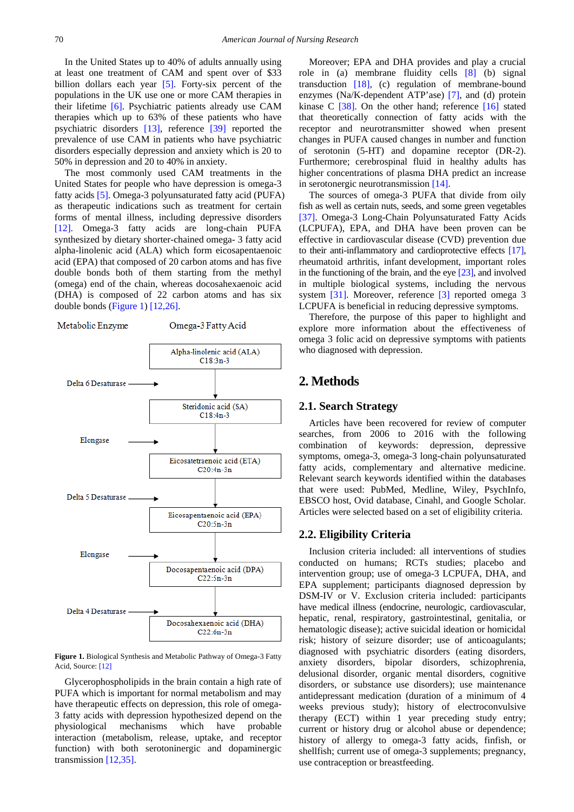In the United States up to 40% of adults annually using at least one treatment of CAM and spent over of \$33 billion dollars each year [\[5\].](#page-3-5) Forty-six percent of the populations in the UK use one or more CAM therapies in their lifetime [\[6\].](#page-3-6) Psychiatric patients already use CAM therapies which up to 63% of these patients who have psychiatric disorders [\[13\],](#page-3-7) reference [\[39\]](#page-4-10) reported the prevalence of use CAM in patients who have psychiatric disorders especially depression and anxiety which is 20 to 50% in depression and 20 to 40% in anxiety.

The most commonly used CAM treatments in the United States for people who have depression is omega-3 fatty acid[s \[5\].](#page-3-5) Omega-3 polyunsaturated fatty acid (PUFA) as therapeutic indications such as treatment for certain forms of mental illness, including depressive disorders [\[12\].](#page-3-8) Omega-3 fatty acids are long-chain PUFA synthesized by dietary shorter-chained omega- 3 fatty acid alpha-linolenic acid (ALA) which form eicosapentaenoic acid (EPA) that composed of 20 carbon atoms and has five double bonds both of them starting from the methyl (omega) end of the chain, whereas docosahexaenoic acid (DHA) is composed of 22 carbon atoms and has six double bonds [\(Figure 1\)](#page-1-0) [\[12,26\].](#page-3-8)

<span id="page-1-0"></span>

**Figure 1.** Biological Synthesis and Metabolic Pathway of Omega-3 Fatty Acid, Source[: \[12\]](#page-3-8)

Glycerophospholipids in the brain contain a high rate of PUFA which is important for normal metabolism and may have therapeutic effects on depression, this role of omega-3 fatty acids with depression hypothesized depend on the physiological mechanisms which have probable interaction (metabolism, release, uptake, and receptor function) with both serotoninergic and dopaminergic transmission [\[12,35\].](#page-3-8)

Moreover; EPA and DHA provides and play a crucial role in (a) membrane fluidity cells [\[8\]](#page-3-9) (b) signal transduction [\[18\],](#page-4-8) (c) regulation of membrane-bound enzymes (Na/K-dependent ATP'ase) [\[7\],](#page-3-4) and (d) protein kinase C [\[38\].](#page-4-11) On the other hand; reference [\[16\]](#page-4-12) stated that theoretically connection of fatty acids with the receptor and neurotransmitter showed when present changes in PUFA caused changes in number and function of serotonin (5-HT) and dopamine receptor (DR-2). Furthermore; cerebrospinal fluid in healthy adults has higher concentrations of plasma DHA predict an increase in serotonergic neurotransmission [\[14\].](#page-3-3)

The sources of omega-3 PUFA that divide from oily fish as well as certain nuts, seeds, and some green vegetables [\[37\].](#page-4-13) Omega-3 Long-Chain Polyunsaturated Fatty Acids (LCPUFA), EPA, and DHA have been proven can be effective in cardiovascular disease (CVD) prevention due to their anti-inflammatory and cardioprotective effects [\[17\],](#page-4-14) rheumatoid arthritis, infant development, important roles in the functioning of the brain, and the eye  $[23]$ , and involved in multiple biological systems, including the nervous system [\[31\].](#page-4-16) Moreover, reference [\[3\]](#page-3-10) reported omega 3 LCPUFA is beneficial in reducing depressive symptoms.

Therefore, the purpose of this paper to highlight and explore more information about the effectiveness of omega 3 folic acid on depressive symptoms with patients who diagnosed with depression.

# **2. Methods**

#### **2.1. Search Strategy**

Articles have been recovered for review of computer searches, from 2006 to 2016 with the following combination of keywords: depression, depressive symptoms, omega-3, omega-3 long-chain polyunsaturated fatty acids, complementary and alternative medicine. Relevant search keywords identified within the databases that were used: PubMed, Medline, Wiley, PsychInfo, EBSCO host, Ovid database, Cinahl, and Google Scholar. Articles were selected based on a set of eligibility criteria.

#### **2.2. Eligibility Criteria**

Inclusion criteria included: all interventions of studies conducted on humans; RCTs studies; placebo and intervention group; use of omega-3 LCPUFA, DHA, and EPA supplement; participants diagnosed depression by DSM-IV or V. Exclusion criteria included: participants have medical illness (endocrine, neurologic, cardiovascular, hepatic, renal, respiratory, gastrointestinal, genitalia, or hematologic disease); active suicidal ideation or homicidal risk; history of seizure disorder; use of anticoagulants; diagnosed with psychiatric disorders (eating disorders, anxiety disorders, bipolar disorders, schizophrenia, delusional disorder, organic mental disorders, cognitive disorders, or substance use disorders); use maintenance antidepressant medication (duration of a minimum of 4 weeks previous study); history of electroconvulsive therapy (ECT) within 1 year preceding study entry; current or history drug or alcohol abuse or dependence; history of allergy to omega-3 fatty acids, finfish, or shellfish; current use of omega-3 supplements; pregnancy, use contraception or breastfeeding.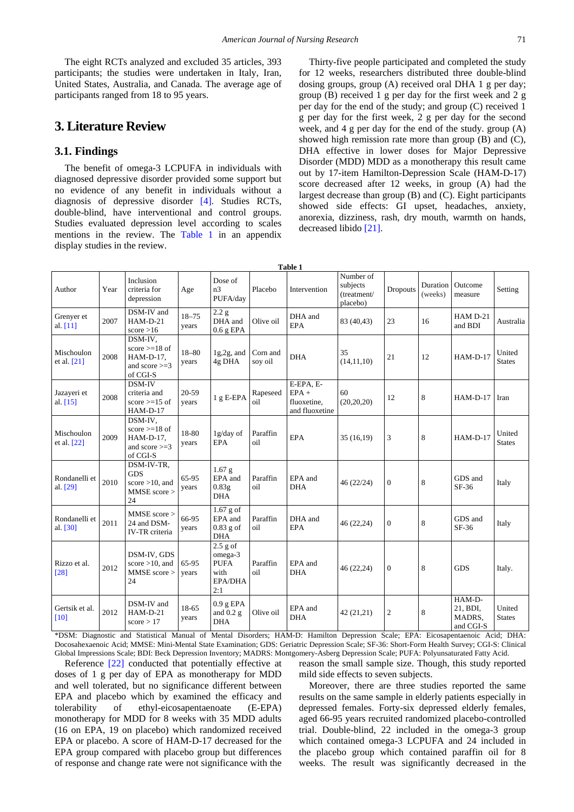The eight RCTs analyzed and excluded 35 articles, 393 participants; the studies were undertaken in Italy, Iran, United States, Australia, and Canada. The average age of participants ranged from 18 to 95 years.

## **3. Literature Review**

#### **3.1. Findings**

The benefit of omega-3 LCPUFA in individuals with diagnosed depressive disorder provided some support but no evidence of any benefit in individuals without a diagnosis of depressive disorder [\[4\].](#page-3-11) Studies RCTs, double-blind, have interventional and control groups. Studies evaluated depression level according to scales mentions in the review. The [Table 1](#page-2-0) in an appendix display studies in the review.

Thirty-five people participated and completed the study for 12 weeks, researchers distributed three double-blind dosing groups, group (A) received oral DHA 1 g per day; group (B) received 1 g per day for the first week and 2 g per day for the end of the study; and group (C) received 1 g per day for the first week, 2 g per day for the second week, and 4 g per day for the end of the study. group (A) showed high remission rate more than group (B) and (C), DHA effective in lower doses for Major Depressive Disorder (MDD) MDD as a monotherapy this result came out by 17-item Hamilton-Depression Scale (HAM-D-17) score decreased after 12 weeks, in group (A) had the largest decrease than group (B) and (C). Eight participants showed side effects: GI upset, headaches, anxiety, anorexia, dizziness, rash, dry mouth, warmth on hands, decreased libido [\[21\].](#page-4-17)

<span id="page-2-0"></span>

| Table 1                     |      |                                                                         |                    |                                                                |                     |                                                       |                                                  |                |                     |                                           |                         |
|-----------------------------|------|-------------------------------------------------------------------------|--------------------|----------------------------------------------------------------|---------------------|-------------------------------------------------------|--------------------------------------------------|----------------|---------------------|-------------------------------------------|-------------------------|
| Author                      | Year | Inclusion<br>criteria for<br>depression                                 | Age                | Dose of<br>n3<br>PUFA/day                                      | Placebo             | Intervention                                          | Number of<br>subjects<br>(treatment/<br>placebo) | Dropouts       | Duration<br>(weeks) | Outcome<br>measure                        | Setting                 |
| Grenyer et<br>al. $[11]$    | 2007 | DSM-IV and<br>$HAM-D-21$<br>score $>16$                                 | $18 - 75$<br>years | 2.2 g<br>DHA and<br>$0.6$ g EPA                                | Olive oil           | DHA and<br><b>EPA</b>                                 | 83 (40,43)                                       | 23             | 16                  | HAM D-21<br>and BDI                       | Australia               |
| Mischoulon<br>et al. $[21]$ | 2008 | DSM-IV,<br>score $>=18$ of<br>HAM-D-17,<br>and score $>=$ 3<br>of CGI-S | $18 - 80$<br>years | $1g, 2g,$ and<br>4g DHA                                        | Corn and<br>soy oil | <b>DHA</b>                                            | 35<br>(14, 11, 10)                               | 21             | 12                  | $HAM-D-17$                                | United<br><b>States</b> |
| Jazayeri et<br>al. $[15]$   | 2008 | DSM-IV<br>criteria and<br>score $>=15$ of<br>$HAM-D-17$                 | 20-59<br>vears     | $1 g E-EPA$                                                    | Rapeseed<br>oil     | E-EPA, E-<br>$EPA +$<br>fluoxetine,<br>and fluoxetine | 60<br>(20, 20, 20)                               | 12             | 8                   | $HAM-D-17$                                | Iran                    |
| Mischoulon<br>et al. $[22]$ | 2009 | DSM-IV,<br>score $>=18$ of<br>HAM-D-17,<br>and score $>=$ 3<br>of CGI-S | 18-80<br>years     | 1g/day of<br><b>EPA</b>                                        | Paraffin<br>oil     | <b>EPA</b>                                            | 35(16,19)                                        | 3              | 8                   | $HAM-D-17$                                | United<br><b>States</b> |
| Rondanelli et<br>al. [29]   | 2010 | DSM-IV-TR,<br><b>GDS</b><br>score $>10$ , and<br>MMSE score ><br>24     | 65-95<br>years     | 1.67 <sub>g</sub><br>EPA and<br>0.83g<br><b>DHA</b>            | Paraffin<br>oil     | EPA and<br><b>DHA</b>                                 | 46 (22/24)                                       | $\overline{0}$ | 8                   | GDS and<br>SF-36                          | Italy                   |
| Rondanelli et<br>al. [30]   | 2011 | MMSE score ><br>24 and DSM-<br>IV-TR criteria                           | 66-95<br>years     | $1.67$ g of<br>EPA and<br>$0.83$ g of<br><b>DHA</b>            | Paraffin<br>oil     | DHA and<br><b>EPA</b>                                 | 46 (22,24)                                       | $\overline{0}$ | 8                   | GDS and<br>$SF-36$                        | Italy                   |
| Rizzo et al.<br>$[28]$      | 2012 | DSM-IV, GDS<br>score $>10$ , and<br>MMSE score ><br>24                  | 65-95<br>years     | $2.5$ g of<br>omega-3<br><b>PUFA</b><br>with<br>EPA/DHA<br>2:1 | Paraffin<br>oil     | EPA and<br><b>DHA</b>                                 | 46 (22,24)                                       | $\mathbf{0}$   | 8                   | <b>GDS</b>                                | Italy.                  |
| Gertsik et al.<br>[10]      | 2012 | DSM-IV and<br>$HAM-D-21$<br>score $> 17$                                | 18-65<br>years     | $0.9$ g EPA<br>and $0.2 g$<br><b>DHA</b>                       | Olive oil           | EPA and<br><b>DHA</b>                                 | 42 (21,21)                                       | 2              | 8                   | HAM-D-<br>21, BDI,<br>MADRS,<br>and CGI-S | United<br><b>States</b> |

**Table 1**

\*DSM: Diagnostic and Statistical Manual of Mental Disorders; HAM-D: Hamilton Depression Scale; EPA: Eicosapentaenoic Acid; DHA: Docosahexaenoic Acid; MMSE: Mini-Mental State Examination; GDS: Geriatric Depression Scale; SF-36: Short-Form Health Survey; CGI-S: Clinical Global Impressions Scale; BDI: Beck Depression Inventory; MADRS: Montgomery-Asberg Depression Scale; PUFA: Polyunsaturated Fatty Acid.

Reference [\[22\]](#page-4-18) conducted that potentially effective at doses of 1 g per day of EPA as monotherapy for MDD and well tolerated, but no significance different between EPA and placebo which by examined the efficacy and tolerability of ethyl-eicosapentaenoate (E-EPA) monotherapy for MDD for 8 weeks with 35 MDD adults (16 on EPA, 19 on placebo) which randomized received EPA or placebo. A score of HAM-D-17 decreased for the EPA group compared with placebo group but differences of response and change rate were not significance with the

reason the small sample size. Though, this study reported mild side effects to seven subjects.

Moreover, there are three studies reported the same results on the same sample in elderly patients especially in depressed females. Forty-six depressed elderly females, aged 66-95 years recruited randomized placebo-controlled trial. Double-blind, 22 included in the omega-3 group which contained omega-3 LCPUFA and 24 included in the placebo group which contained paraffin oil for 8 weeks. The result was significantly decreased in the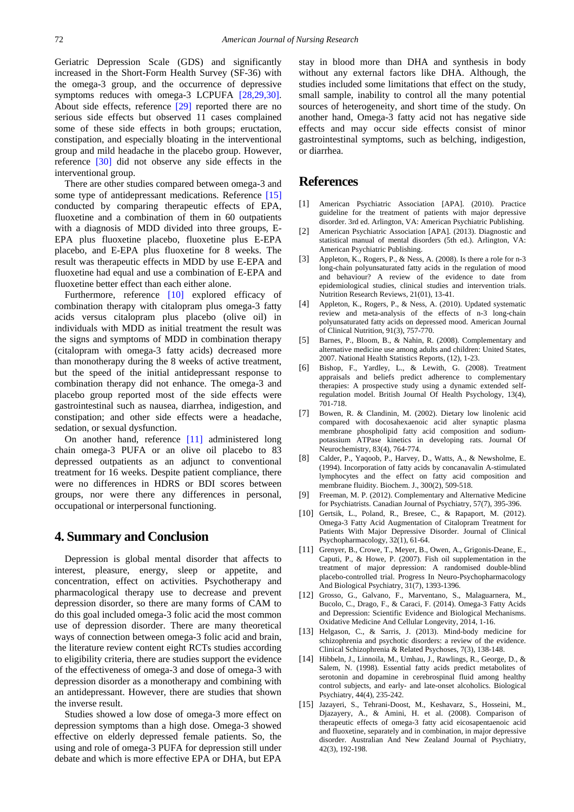Geriatric Depression Scale (GDS) and significantly increased in the Short-Form Health Survey (SF-36) with the omega-3 group, and the occurrence of depressive symptoms reduces with omega-3 LCPUFA [\[28,29,30\].](#page-4-21) About side effects, reference [\[29\]](#page-4-19) reported there are no serious side effects but observed 11 cases complained some of these side effects in both groups; eructation, constipation, and especially bloating in the interventional group and mild headache in the placebo group. However, reference [\[30\]](#page-4-20) did not observe any side effects in the interventional group.

There are other studies compared between omega-3 and some type of antidepressant medications. Reference [\[15\]](#page-3-13) conducted by comparing therapeutic effects of EPA, fluoxetine and a combination of them in 60 outpatients with a diagnosis of MDD divided into three groups, E-EPA plus fluoxetine placebo, fluoxetine plus E-EPA placebo, and E-EPA plus fluoxetine for 8 weeks. The result was therapeutic effects in MDD by use E-EPA and fluoxetine had equal and use a combination of E-EPA and fluoxetine better effect than each either alone.

Furthermore, reference [\[10\]](#page-3-2) explored efficacy of combination therapy with citalopram plus omega-3 fatty acids versus citalopram plus placebo (olive oil) in individuals with MDD as initial treatment the result was the signs and symptoms of MDD in combination therapy (citalopram with omega-3 fatty acids) decreased more than monotherapy during the 8 weeks of active treatment, but the speed of the initial antidepressant response to combination therapy did not enhance. The omega-3 and placebo group reported most of the side effects were gastrointestinal such as nausea, diarrhea, indigestion, and constipation; and other side effects were a headache, sedation, or sexual dysfunction.

On another hand, reference [\[11\]](#page-3-12) administered long chain omega-3 PUFA or an olive oil placebo to 83 depressed outpatients as an adjunct to conventional treatment for 16 weeks. Despite patient compliance, there were no differences in HDRS or BDI scores between groups, nor were there any differences in personal, occupational or interpersonal functioning.

## **4. Summary and Conclusion**

Depression is global mental disorder that affects to interest, pleasure, energy, sleep or appetite, and concentration, effect on activities. Psychotherapy and pharmacological therapy use to decrease and prevent depression disorder, so there are many forms of CAM to do this goal included omega-3 folic acid the most common use of depression disorder. There are many theoretical ways of connection between omega-3 folic acid and brain, the literature review content eight RCTs studies according to eligibility criteria, there are studies support the evidence of the effectiveness of omega-3 and dose of omega-3 with depression disorder as a monotherapy and combining with an antidepressant. However, there are studies that shown the inverse result.

Studies showed a low dose of omega-3 more effect on depression symptoms than a high dose. Omega-3 showed effective on elderly depressed female patients. So, the using and role of omega-3 PUFA for depression still under debate and which is more effective EPA or DHA, but EPA

stay in blood more than DHA and synthesis in body without any external factors like DHA. Although, the studies included some limitations that effect on the study, small sample, inability to control all the many potential sources of heterogeneity, and short time of the study. On another hand, Omega-3 fatty acid not has negative side effects and may occur side effects consist of minor gastrointestinal symptoms, such as belching, indigestion, or diarrhea.

#### **References**

- <span id="page-3-1"></span>[1] American Psychiatric Association [APA]. (2010). Practice guideline for the treatment of patients with major depressive disorder. 3rd ed. Arlington, VA: American Psychiatric Publishing.
- <span id="page-3-0"></span>[2] American Psychiatric Association [APA]. (2013). Diagnostic and statistical manual of mental disorders (5th ed.). Arlington, VA: American Psychiatric Publishing.
- <span id="page-3-10"></span>[3] Appleton, K., Rogers, P., & Ness, A. (2008). Is there a role for n-3 long-chain polyunsaturated fatty acids in the regulation of mood and behaviour? A review of the evidence to date from epidemiological studies, clinical studies and intervention trials. Nutrition Research Reviews, 21(01), 13-41.
- <span id="page-3-11"></span>[4] Appleton, K., Rogers, P., & Ness, A. (2010). Updated systematic review and meta-analysis of the effects of n-3 long-chain polyunsaturated fatty acids on depressed mood. American Journal of Clinical Nutrition, 91(3), 757-770.
- <span id="page-3-5"></span>[5] Barnes, P., Bloom, B., & Nahin, R. (2008). Complementary and alternative medicine use among adults and children: United States, 2007. National Health Statistics Reports, (12), 1-23.
- <span id="page-3-6"></span>[6] Bishop, F., Yardley, L., & Lewith, G. (2008). Treatment appraisals and beliefs predict adherence to complementary therapies: A prospective study using a dynamic extended selfregulation model. British Journal Of Health Psychology, 13(4), 701-718.
- <span id="page-3-4"></span>[7] Bowen, R. & Clandinin, M. (2002). Dietary low linolenic acid compared with docosahexaenoic acid alter synaptic plasma membrane phospholipid fatty acid composition and sodiumpotassium ATPase kinetics in developing rats. Journal Of Neurochemistry, 83(4), 764-774.
- <span id="page-3-9"></span>[8] Calder, P., Yaqoob, P., Harvey, D., Watts, A., & Newsholme, E. (1994). Incorporation of fatty acids by concanavalin A-stimulated lymphocytes and the effect on fatty acid composition and membrane fluidity. Biochem. J., 300(2), 509-518.
- [9] Freeman, M. P. (2012). Complementary and Alternative Medicine for Psychiatrists. Canadian Journal of Psychiatry, 57(7), 395-396.
- <span id="page-3-2"></span>[10] Gertsik, L., Poland, R., Bresee, C., & Rapaport, M. (2012). Omega-3 Fatty Acid Augmentation of Citalopram Treatment for Patients With Major Depressive Disorder. Journal of Clinical Psychopharmacology, 32(1), 61-64.
- <span id="page-3-12"></span>[11] Grenver, B., Crowe, T., Mever, B., Owen, A., Grigonis-Deane, E., Caputi, P., & Howe, P. (2007). Fish oil supplementation in the treatment of major depression: A randomised double-blind placebo-controlled trial. Progress In Neuro-Psychopharmacology And Biological Psychiatry, 31(7), 1393-1396.
- <span id="page-3-8"></span>[12] Grosso, G., Galvano, F., Marventano, S., Malaguarnera, M., Bucolo, C., Drago, F., & Caraci, F. (2014). Omega-3 Fatty Acids and Depression: Scientific Evidence and Biological Mechanisms. Oxidative Medicine And Cellular Longevity, 2014, 1-16.
- <span id="page-3-7"></span>[13] Helgason, C., & Sarris, J. (2013). Mind-body medicine for schizophrenia and psychotic disorders: a review of the evidence. Clinical Schizophrenia & Related Psychoses, 7(3), 138-148.
- <span id="page-3-3"></span>[14] Hibbeln, J., Linnoila, M., Umhau, J., Rawlings, R., George, D., & Salem, N. (1998). Essential fatty acids predict metabolites of serotonin and dopamine in cerebrospinal fluid among healthy control subjects, and early- and late-onset alcoholics. Biological Psychiatry, 44(4), 235-242.
- <span id="page-3-13"></span>[15] Jazayeri, S., Tehrani-Doost, M., Keshavarz, S., Hosseini, M., Djazayery, A., & Amini, H. et al. (2008). Comparison of therapeutic effects of omega-3 fatty acid eicosapentaenoic acid and fluoxetine, separately and in combination, in major depressive disorder. Australian And New Zealand Journal of Psychiatry, 42(3), 192-198.